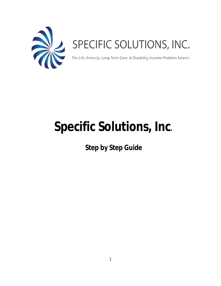

# SPECIFIC SOLUTIONS, INC.

The Life, Annuity, Long Term Care, & Disability Income Problem Solvers

# **Specific Solutions, Inc.**

 **Step by Step Guide**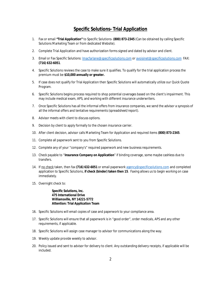#### **Specific Solutions- Trial Application**

- 1. Fax or email **"Trial Application"** to Specific Solutions- **(800) 873-2345** (Can be obtained by calling Specific Solutions Marketing Team or from dedicated Website).
- 2. Complete Trial Application and have authorization forms signed and dated by advisor and client.
- 3. Email or Fax Specific Solutions: [lmacfarlane@specificsolutions.com](mailto:lmacfarlane@specificsolutions.com) or [avoisinet@specificsolutions.com](mailto:avoisinet@specificsolutions.com) FAX: **(716) 632-6051**.
- 4. Specific Solutions reviews the case to make sure it qualifies. To qualify for the trial application process the premium must be **\$10,000 annually or greater.**
- 5. If case does not qualify for Trial Application then Specific Solutions will automatically utilize our Quick Quote Program.
- 6. Specific Solutions begins process required to shop potential coverages based on the client's impairment. This may include medical exam, APS, and working with different insurance underwriters.
- 7. Once Specific Solutions has all the informal offers from insurance companies, we send the advisor a synopsis of all the informal offers and tentative requirements (spreadsheet/report).
- 8. Advisor meets with client to discuss options.
- 9. Decision by client to apply formally to the chosen insurance carrier.
- 10. After client decision, advisor calls Marketing Team for Application and required items **(800) 873-2345**.
- 11. Complete all paperwork sent to you from Specific Solutions.
- 12. Complete any of your "company's" required paperwork and new business requirements.
- 13. Check payable to "**Insurance Company on Application**" if binding coverage, some maybe cashless due to transfers.
- 14. If no check taken, then fax **(716) 632-6051** or email paperwork [agency@specificsolutions.com](mailto:agency@specificsolutions.com) and completed application to Specific Solutions, **if check (binder) taken then 15**. Faxing allows us to begin working on case immediately.
- 15. Overnight check to:

 **Specific Solutions, Inc. 475 International Drive Williamsville, NY 14221-5772 Attention: Trial Application Team** 

- 16. Specific Solutions will email copies of case and paperwork to your compliance area.
- 17. Specific Solutions will ensure that all paperwork is in "good order", order medicals, APS and any other requirements, if applicable.
- 18. Specific Solutions will assign case manager to advisor for communications along the way.
- 19. Weekly update provide weekly to advisor.
- 20. Policy issued and sent to advisor for delivery to client. Any outstanding delivery receipts, if applicable will be included.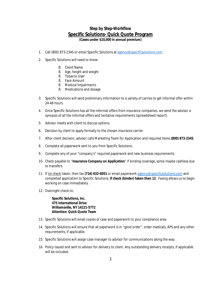### **Step by Step-Workflow Specific Solutions- Quick Quote Program**

**(Cases under \$10,000 in annual premium)** 

- 1. Call (800) 873-2345 or email Specific Solutions at [agency@specificsolutions.com](mailto:agency@specificsolutions.com).
- 2. Specific Solutions will need to know:
	- § Client Name
	- § Age, height and weight
	- § Tobacco User
	- § Face Amount
	- § Medical Impairments
	- § Medications and dosage
- 3. Specific Solutions will send preliminary information to a variety of carries to get informal offer within 24-48 hours.
- 4. Once Specific Solutions has all the informal offers from insurance companies, we send the advisor a synopsis of all the informal offers and tentative requirements (spreadsheet/report).
- 5. Advisor meets with client to discuss options.
- 6. Decision by client to apply formally to the chosen insurance carrier.
- 7. After client decision, advisor calls Marketing Team for Application and required items **(800) 873-2345**.
- 8. Complete all paperwork sent to you from Specific Solutions.
- 9. Complete any of your "company's" required paperwork and new business requirements.
- 10. Check payable to "**Insurance Company on Application**" if binding coverage, some maybe cashless due to transfers.
- 11. If no check taken, then fax **(716) 632-6051** or email paperwork [agency@specificsolutions.com](mailto:agency@specificsolutions.com) and completed application to Specific Solutions, **if check (binder) taken then 12**. Faxing allows us to begin working on case immediately.
- 12. Overnight check to:

 **Specific Solutions, Inc. 475 International Drive Williamsville, NY 14221-5772 Attention: Quick Quote Team** 

- 13. Specific Solutions will email copies of case and paperwork to your compliance area.
- 14. Specific Solutions will ensure that all paperwork is in "good order", order medicals, APS and any other requirements, if applicable.
- 15. Specific Solutions will assign case manager to advisor for communications along the way.
- 16. Policy issued and sent to advisor for delivery to client. Any outstanding delivery receipts, if applicable will be included.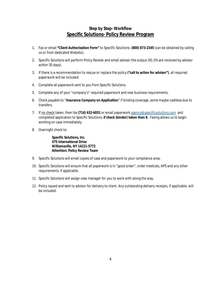#### **Step by Step- Workflow Specific Solutions- Policy Review Program**

- 1. Fax or email **"Client Authorization Form"** to Specific Solutions- **(800) 873-2345** (can be obtained by calling us or from dedicated Website).
- 2. Specific Solutions will perform Policy Review and email advisor the output (91.5% are received by advisor within 30 days).
- 3. If there is a recommendation to rescue or replace the policy **("call to action for advisor")**, all required paperwork will be included.
- 4. Complete all paperwork sent to you from Specific Solutions.
- 5. Complete any of your "company's" required paperwork and new business requirements.
- 6. Check payable to "**Insurance Company on Application**" if binding coverage, some maybe cashless due to transfers.
- 7. If no check taken, then fax **(716) 632-6051** or email paperwork [agency@specificsolutions.com](mailto:agency@specificsolutions.com) and completed application to Specific Solutions, **if check (binder) taken then 8**. Faxing allows us to begin working on case immediately.
- 8. Overnight check to:

 **Specific Solutions, Inc. 475 International Drive Williamsville, NY 14221-5772 Attention: Policy Review Team** 

- 9. Specific Solutions will email copies of case and paperwork to your compliance area.
- 10. Specific Solutions will ensure that all paperwork is in "good order", order medicals, APS and any other requirements, if applicable.
- 11. Specific Solutions will assign case manager for you to work with along the way.
- 12. Policy issued and sent to advisor for delivery to client. Any outstanding delivery receipts, if applicable, will be included.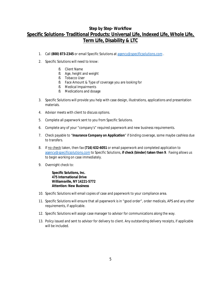## **Step by Step- Workflow Specific Solutions- Traditional Products: Universal Life, Indexed Life, Whole Life, Term Life, Disability & LTC**

- 1. Call **(800) 873-2345** or email Specific Solutions at [agency@specificsolutions.com](mailto:agency@specificsolutions.com) .
- 2. Specific Solutions will need to know:
	- § Client Name
	- § Age, height and weight
	- § Tobacco User
	- § Face Amount & Type of coverage you are looking for
	- § Medical Impairments
	- § Medications and dosage
- 3. Specific Solutions will provide you help with case design, illustrations, applications and presentation materials.
- 4. Advisor meets with client to discuss options.
- 5. Complete all paperwork sent to you from Specific Solutions.
- 6. Complete any of your "company's" required paperwork and new business requirements.
- 7. Check payable to "**Insurance Company on Application**" if binding coverage, some maybe cashless due to transfers.
- 8. If no check taken, then fax **(716) 632-6051** or email paperwork and completed application to [agency@specificsolutions.com](mailto:agency@specificsolutions.com) to Specific Solutions, **if check (binder) taken then 9**. Faxing allows us to begin working on case immediately.
- 9. Overnight check to:

 **Specific Solutions, Inc. 475 International Drive Williamsville, NY 14221-5772 Attention: New Business**

- 10. Specific Solutions will email copies of case and paperwork to your compliance area.
- 11. Specific Solutions will ensure that all paperwork is in "good order", order medicals, APS and any other requirements, if applicable.
- 12. Specific Solutions will assign case manager to advisor for communications along the way.
- 13. Policy issued and sent to advisor for delivery to client. Any outstanding delivery receipts, if applicable will be included.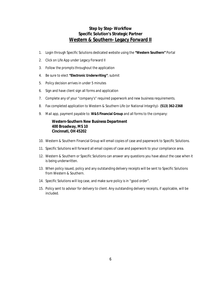#### **Step by Step- Workflow Specific Solution's Strategic Partner Western & Southern- Legacy Forward II**

- 1. Login through Specific Solutions dedicated website using the **"Western Southern"** Portal
- 2. Click on Life App under Legacy Forward II
- 3. Follow the prompts throughout the application
- 4. Be sure to elect **"***Electronic Underwriting***"**; submit
- 5. Policy decision arrives in under 5 minutes
- 6. Sign and have client sign all forms and application
- 7. Complete any of your "company's" required paperwork and new business requirements.
- 8. Fax completed application to Western & Southern Life (or National Integrity)- **(513) 362-2368**
- 9. Mail app, payment payable to: **W&S Financial Group** and all forms to the company:

 **Western-Southern New Business Department 400 Broadway, MS 10 Cincinnati, OH 45202** 

- 10. Western & Southern Financial Group will email copies of case and paperwork to Specific Solutions.
- 11. Specific Solutions will forward all email copies of case and paperwork to your compliance area.
- 12. Western & Southern or Specific Solutions can answer any questions you have about the case when it is being underwritten.
- 13. When policy issued, policy and any outstanding delivery receipts will be sent to Specific Solutions from Western & Southern.
- 14. Specific Solutions will log case, and make sure policy is in "good order".
- 15. Policy sent to advisor for delivery to client. Any outstanding delivery receipts, if applicable, will be included.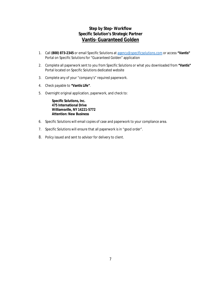#### **Step by Step- Workflow Specific Solution's Strategic Partner Vantis- Guaranteed Golden**

- 1. Call **(800) 873-2345** or email Specific Solutions at [agency@specificsolutions.com](mailto:agency@specificsolutions.com) or access **"Vantis"** Portal on Specific Solutions for "Guaranteed Golden" application
- 2. Complete all paperwork sent to you from Specific Solutions or what you downloaded from **"Vantis"** Portal located on Specific Solutions dedicated website
- 3. Complete any of your "company's" required paperwork.
- 4. Check payable to **"Vantis Life"**.
- 5. Overnight original application, paperwork, and check to:

 **Specific Solutions, Inc. 475 International Drive Williamsville, NY 14221-5772 Attention: New Business**

- 6. Specific Solutions will email copies of case and paperwork to your compliance area.
- 7. Specific Solutions will ensure that all paperwork is in "good order".
- 8. Policy issued and sent to advisor for delivery to client.